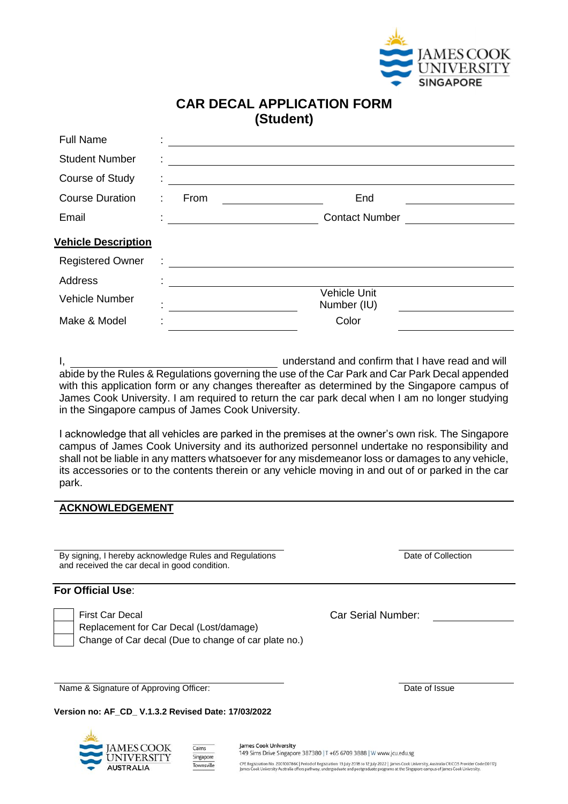

## **CAR DECAL APPLICATION FORM (Student)**

| <b>Full Name</b>                    |                                                                                                                       |
|-------------------------------------|-----------------------------------------------------------------------------------------------------------------------|
| <b>Student Number</b>               | <u> 1980 - Andrea Andrew Maria (b. 1980)</u>                                                                          |
| Course of Study                     | <u> 1989 - Andrea State Barbara, amerikan personal di personal dengan personal dengan personal dengan personal de</u> |
| <b>Course Duration</b><br>From<br>÷ | End                                                                                                                   |
| Email                               | <b>Contact Number</b><br><u> 1989 - Jan Samuel Barbara, político e a f</u>                                            |
| <b>Vehicle Description</b>          |                                                                                                                       |
| <b>Registered Owner</b><br>÷        | <u> 1989 - Johann Harry Harry Harry Harry Harry Harry Harry Harry Harry Harry Harry Harry Harry Harry Harry Harry</u> |
| <b>Address</b>                      |                                                                                                                       |
| Vehicle Number                      | <b>Vehicle Unit</b><br>Number (IU)<br><u> 1989 - Johann Marie Barn, mars an t-</u>                                    |
| Make & Model                        | Color                                                                                                                 |

I, understand and confirm that I have read and will abide by the Rules & Regulations governing the use of the Car Park and Car Park Decal appended with this application form or any changes thereafter as determined by the Singapore campus of James Cook University. I am required to return the car park decal when I am no longer studying in the Singapore campus of James Cook University.

I acknowledge that all vehicles are parked in the premises at the owner's own risk. The Singapore campus of James Cook University and its authorized personnel undertake no responsibility and shall not be liable in any matters whatsoever for any misdemeanor loss or damages to any vehicle, its accessories or to the contents therein or any vehicle moving in and out of or parked in the car park.

#### **ACKNOWLEDGEMENT**

By signing, I hereby acknowledge Rules and Regulations and received the car decal in good condition.

Date of Collection

### **For Official Use**:

First Car Decal Car Serial Number: Replacement for Car Decal (Lost/damage) Change of Car decal (Due to change of car plate no.)

Name & Signature of Approving Officer: Date of Issue

**Version no: AF\_CD\_ V.1.3.2 Revised Date: 17/03/2022**



James Cook University 149 Sims Drive Singapore 387380 | T +65 6709 3888 | W www.jcu.edu.sg CPE Registration No. 200100786K | Period of Registration: 13 July 2018 to 12 July 2022 | James Cook University, Australia CRICOS Provider Code:00117J<br>James Cook University Australia offers pathway, undergraduate and postgr